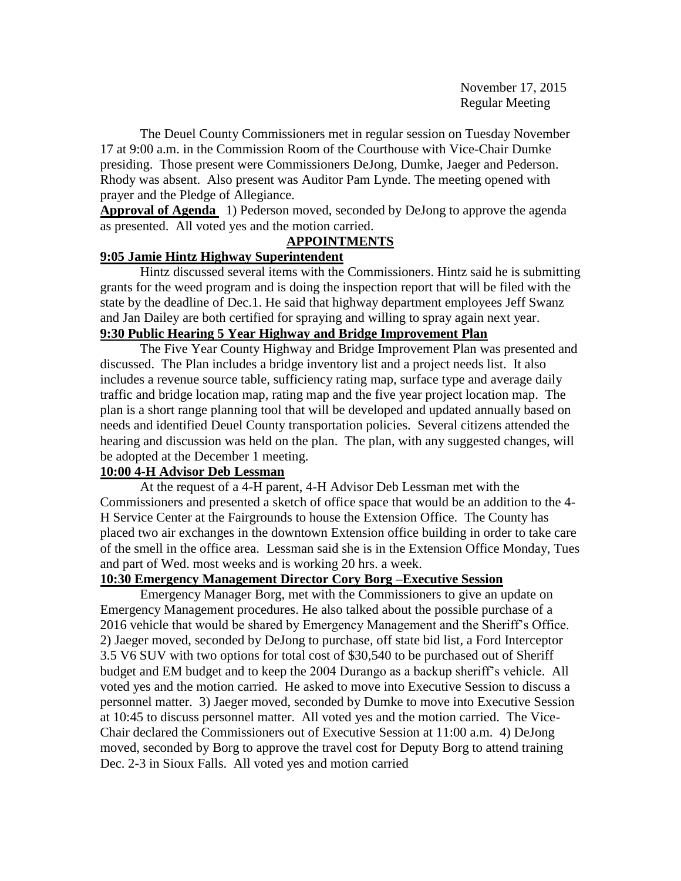The Deuel County Commissioners met in regular session on Tuesday November 17 at 9:00 a.m. in the Commission Room of the Courthouse with Vice-Chair Dumke presiding. Those present were Commissioners DeJong, Dumke, Jaeger and Pederson. Rhody was absent. Also present was Auditor Pam Lynde. The meeting opened with prayer and the Pledge of Allegiance.

**Approval of Agenda** 1) Pederson moved, seconded by DeJong to approve the agenda as presented. All voted yes and the motion carried.

## **APPOINTMENTS**

## **9:05 Jamie Hintz Highway Superintendent**

Hintz discussed several items with the Commissioners. Hintz said he is submitting grants for the weed program and is doing the inspection report that will be filed with the state by the deadline of Dec.1. He said that highway department employees Jeff Swanz and Jan Dailey are both certified for spraying and willing to spray again next year. **9:30 Public Hearing 5 Year Highway and Bridge Improvement Plan**

The Five Year County Highway and Bridge Improvement Plan was presented and discussed. The Plan includes a bridge inventory list and a project needs list. It also includes a revenue source table, sufficiency rating map, surface type and average daily traffic and bridge location map, rating map and the five year project location map. The plan is a short range planning tool that will be developed and updated annually based on needs and identified Deuel County transportation policies. Several citizens attended the hearing and discussion was held on the plan. The plan, with any suggested changes, will be adopted at the December 1 meeting.

## **10:00 4-H Advisor Deb Lessman**

At the request of a 4-H parent, 4-H Advisor Deb Lessman met with the Commissioners and presented a sketch of office space that would be an addition to the 4- H Service Center at the Fairgrounds to house the Extension Office. The County has placed two air exchanges in the downtown Extension office building in order to take care of the smell in the office area. Lessman said she is in the Extension Office Monday, Tues and part of Wed. most weeks and is working 20 hrs. a week.

### **10:30 Emergency Management Director Cory Borg –Executive Session**

Emergency Manager Borg, met with the Commissioners to give an update on Emergency Management procedures. He also talked about the possible purchase of a 2016 vehicle that would be shared by Emergency Management and the Sheriff's Office. 2) Jaeger moved, seconded by DeJong to purchase, off state bid list, a Ford Interceptor 3.5 V6 SUV with two options for total cost of \$30,540 to be purchased out of Sheriff budget and EM budget and to keep the 2004 Durango as a backup sheriff's vehicle. All voted yes and the motion carried. He asked to move into Executive Session to discuss a personnel matter. 3) Jaeger moved, seconded by Dumke to move into Executive Session at 10:45 to discuss personnel matter. All voted yes and the motion carried. The Vice-Chair declared the Commissioners out of Executive Session at 11:00 a.m. 4) DeJong moved, seconded by Borg to approve the travel cost for Deputy Borg to attend training Dec. 2-3 in Sioux Falls. All voted yes and motion carried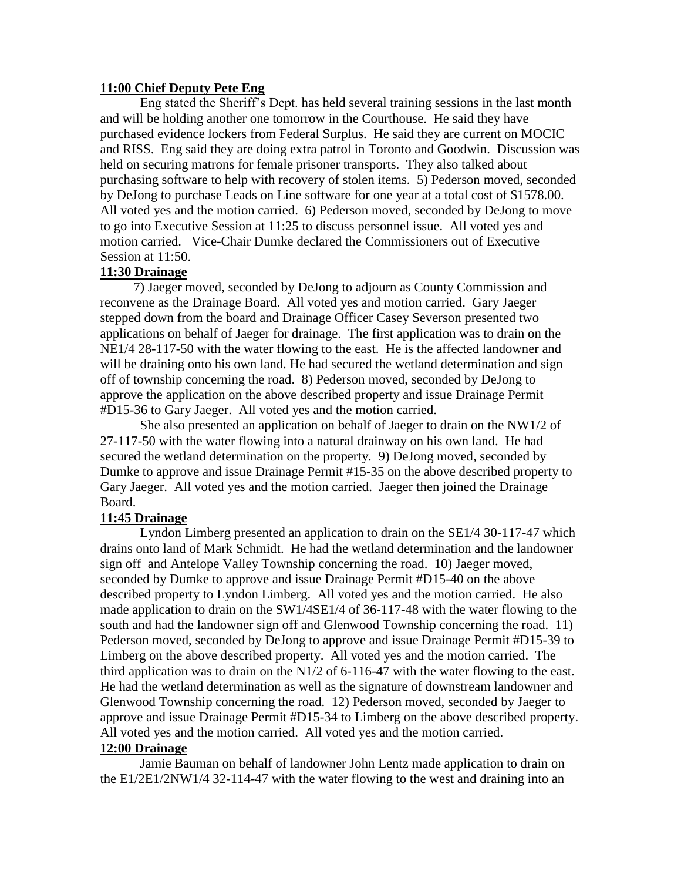### **11:00 Chief Deputy Pete Eng**

Eng stated the Sheriff's Dept. has held several training sessions in the last month and will be holding another one tomorrow in the Courthouse. He said they have purchased evidence lockers from Federal Surplus. He said they are current on MOCIC and RISS. Eng said they are doing extra patrol in Toronto and Goodwin. Discussion was held on securing matrons for female prisoner transports. They also talked about purchasing software to help with recovery of stolen items. 5) Pederson moved, seconded by DeJong to purchase Leads on Line software for one year at a total cost of \$1578.00. All voted yes and the motion carried. 6) Pederson moved, seconded by DeJong to move to go into Executive Session at 11:25 to discuss personnel issue. All voted yes and motion carried. Vice-Chair Dumke declared the Commissioners out of Executive Session at 11:50.

### **11:30 Drainage**

 7) Jaeger moved, seconded by DeJong to adjourn as County Commission and reconvene as the Drainage Board. All voted yes and motion carried. Gary Jaeger stepped down from the board and Drainage Officer Casey Severson presented two applications on behalf of Jaeger for drainage. The first application was to drain on the NE1/4 28-117-50 with the water flowing to the east. He is the affected landowner and will be draining onto his own land. He had secured the wetland determination and sign off of township concerning the road. 8) Pederson moved, seconded by DeJong to approve the application on the above described property and issue Drainage Permit #D15-36 to Gary Jaeger. All voted yes and the motion carried.

She also presented an application on behalf of Jaeger to drain on the NW1/2 of 27-117-50 with the water flowing into a natural drainway on his own land. He had secured the wetland determination on the property. 9) DeJong moved, seconded by Dumke to approve and issue Drainage Permit #15-35 on the above described property to Gary Jaeger. All voted yes and the motion carried. Jaeger then joined the Drainage Board.

### **11:45 Drainage**

Lyndon Limberg presented an application to drain on the SE1/4 30-117-47 which drains onto land of Mark Schmidt. He had the wetland determination and the landowner sign off and Antelope Valley Township concerning the road. 10) Jaeger moved, seconded by Dumke to approve and issue Drainage Permit #D15-40 on the above described property to Lyndon Limberg. All voted yes and the motion carried. He also made application to drain on the SW1/4SE1/4 of 36-117-48 with the water flowing to the south and had the landowner sign off and Glenwood Township concerning the road. 11) Pederson moved, seconded by DeJong to approve and issue Drainage Permit #D15-39 to Limberg on the above described property. All voted yes and the motion carried. The third application was to drain on the N1/2 of 6-116-47 with the water flowing to the east. He had the wetland determination as well as the signature of downstream landowner and Glenwood Township concerning the road. 12) Pederson moved, seconded by Jaeger to approve and issue Drainage Permit #D15-34 to Limberg on the above described property. All voted yes and the motion carried. All voted yes and the motion carried.

### **12:00 Drainage**

Jamie Bauman on behalf of landowner John Lentz made application to drain on the E1/2E1/2NW1/4 32-114-47 with the water flowing to the west and draining into an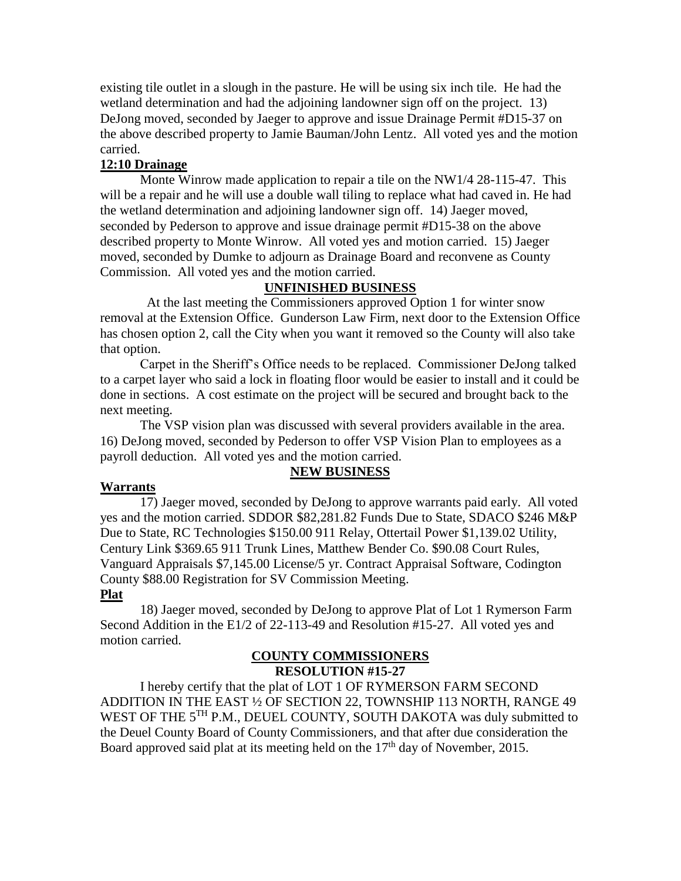existing tile outlet in a slough in the pasture. He will be using six inch tile. He had the wetland determination and had the adjoining landowner sign off on the project. 13) DeJong moved, seconded by Jaeger to approve and issue Drainage Permit #D15-37 on the above described property to Jamie Bauman/John Lentz. All voted yes and the motion carried.

## **12:10 Drainage**

Monte Winrow made application to repair a tile on the NW1/4 28-115-47. This will be a repair and he will use a double wall tiling to replace what had caved in. He had the wetland determination and adjoining landowner sign off. 14) Jaeger moved, seconded by Pederson to approve and issue drainage permit #D15-38 on the above described property to Monte Winrow. All voted yes and motion carried. 15) Jaeger moved, seconded by Dumke to adjourn as Drainage Board and reconvene as County Commission. All voted yes and the motion carried.

## **UNFINISHED BUSINESS**

 At the last meeting the Commissioners approved Option 1 for winter snow removal at the Extension Office. Gunderson Law Firm, next door to the Extension Office has chosen option 2, call the City when you want it removed so the County will also take that option.

Carpet in the Sheriff's Office needs to be replaced. Commissioner DeJong talked to a carpet layer who said a lock in floating floor would be easier to install and it could be done in sections. A cost estimate on the project will be secured and brought back to the next meeting.

The VSP vision plan was discussed with several providers available in the area. 16) DeJong moved, seconded by Pederson to offer VSP Vision Plan to employees as a payroll deduction. All voted yes and the motion carried.

### **NEW BUSINESS**

### **Warrants**

17) Jaeger moved, seconded by DeJong to approve warrants paid early. All voted yes and the motion carried. SDDOR \$82,281.82 Funds Due to State, SDACO \$246 M&P Due to State, RC Technologies \$150.00 911 Relay, Ottertail Power \$1,139.02 Utility, Century Link \$369.65 911 Trunk Lines, Matthew Bender Co. \$90.08 Court Rules, Vanguard Appraisals \$7,145.00 License/5 yr. Contract Appraisal Software, Codington County \$88.00 Registration for SV Commission Meeting.

### **Plat**

18) Jaeger moved, seconded by DeJong to approve Plat of Lot 1 Rymerson Farm Second Addition in the E1/2 of 22-113-49 and Resolution #15-27. All voted yes and motion carried.

#### **COUNTY COMMISSIONERS RESOLUTION #15-27**

I hereby certify that the plat of LOT 1 OF RYMERSON FARM SECOND ADDITION IN THE EAST ½ OF SECTION 22, TOWNSHIP 113 NORTH, RANGE 49 WEST OF THE 5<sup>TH</sup> P.M., DEUEL COUNTY, SOUTH DAKOTA was duly submitted to the Deuel County Board of County Commissioners, and that after due consideration the Board approved said plat at its meeting held on the  $17<sup>th</sup>$  day of November, 2015.